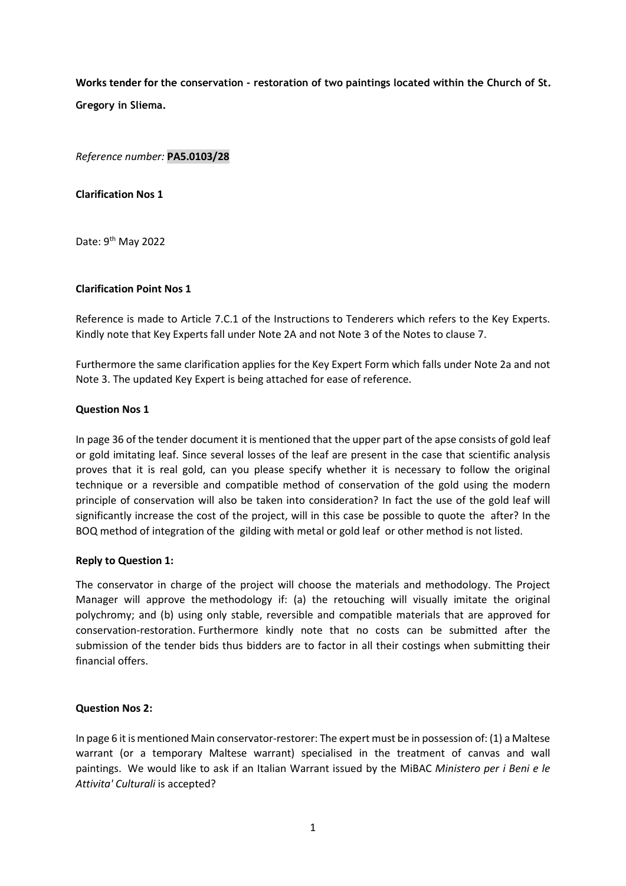Works tender for the conservation - restoration of two paintings located within the Church of St. Gregory in Sliema.

Reference number: PA5.0103/28

# Clarification Nos 1

Date: 9<sup>th</sup> May 2022

## Clarification Point Nos 1

Reference is made to Article 7.C.1 of the Instructions to Tenderers which refers to the Key Experts. Kindly note that Key Experts fall under Note 2A and not Note 3 of the Notes to clause 7.

Furthermore the same clarification applies for the Key Expert Form which falls under Note 2a and not Note 3. The updated Key Expert is being attached for ease of reference.

## Question Nos 1

In page 36 of the tender document it is mentioned that the upper part of the apse consists of gold leaf or gold imitating leaf. Since several losses of the leaf are present in the case that scientific analysis proves that it is real gold, can you please specify whether it is necessary to follow the original technique or a reversible and compatible method of conservation of the gold using the modern principle of conservation will also be taken into consideration? In fact the use of the gold leaf will significantly increase the cost of the project, will in this case be possible to quote the after? In the BOQ method of integration of the gilding with metal or gold leaf or other method is not listed.

## Reply to Question 1:

The conservator in charge of the project will choose the materials and methodology. The Project Manager will approve the methodology if: (a) the retouching will visually imitate the original polychromy; and (b) using only stable, reversible and compatible materials that are approved for conservation-restoration. Furthermore kindly note that no costs can be submitted after the submission of the tender bids thus bidders are to factor in all their costings when submitting their financial offers.

## Question Nos 2:

In page 6 it is mentioned Main conservator-restorer: The expert must be in possession of: (1) a Maltese warrant (or a temporary Maltese warrant) specialised in the treatment of canvas and wall paintings. We would like to ask if an Italian Warrant issued by the MiBAC Ministero per i Beni e le Attivita' Culturali is accepted?